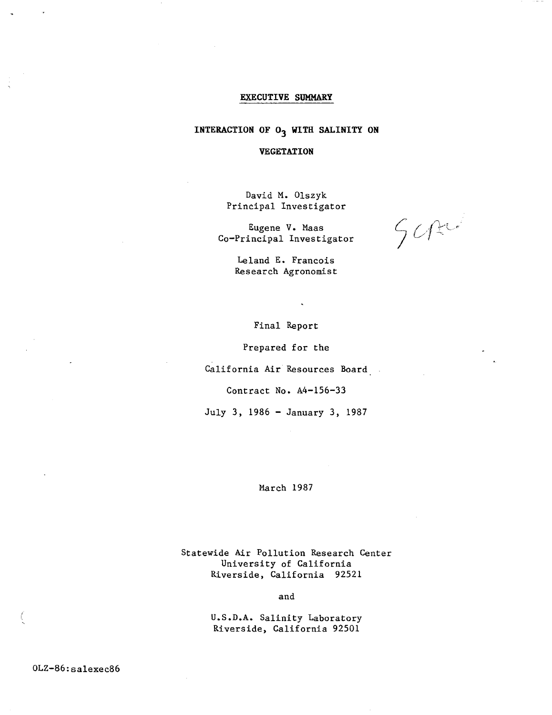## **EXECUTIVE SUMMARY**

# INTERACTION OF O<sub>3</sub> WITH SALINITY ON

## **VEGETATION**

David M. Olszyk Principal Investigator

Eugene V. Maas Co-Principal Investigator

 $501$ 

Leland E. Francois Research Agronomist

Final Report

Prepared for the

California Air Resources Board

Contract No. A4-156-33

July 3, 1986 - January 3, 1987

# March 1987

Statewide Air Pollution Research Center University of California Riverside, California 92521

and

U.S.D.A. Salinity Laboratory Riverside, California 92501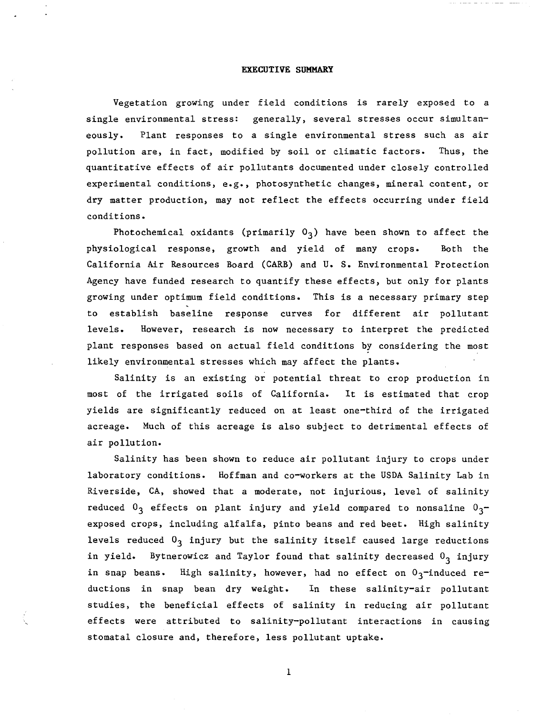#### **EXECUTIVE SUMMARY**

Vegetation growing under field conditions is rarely exposed to a single environmental stress: generally, several stresses occur simultaneously. Plant responses to a single environmental stress such as air pollution are, in fact, modified by soil or climatic factors. Thus, the quantitative effects of air pollutants documented under closely controlled experimental conditions, e.g., photosynthetic changes, mineral content, or dry matter production, may not reflect the effects occurring under field conditions.

Photochemical oxidants (primarily  $0<sub>3</sub>$ ) have been shown to affect the physiological response, growth and yield of many crops. Both the California Air Resources Board (CARB) and U. S. Environmental Protection Agency have funded research to quantify these effects, but only for plants growing under optimum field conditions. This is a necessary primary step to establish baseline response curves for different air pollutant levels. However, research is now necessary to interpret the predicted plant responses based on actual field conditions by considering the most likely environmental stresses which may affect the plants.

Salinity is an existing or potential threat to crop production in most of the irrigated soils of California. It is estimated that crop yields are significantly reduced on at least one-third of the irrigated acreage. Much of this acreage is also subject to detrimental effects of air pollution.

Salinity has been shown to reduce air pollutant injury to crops under laboratory conditions. Hoffman and co-workers at the USDA Salinity Lab in Riverside, CA, showed that a moderate, not injurious, level of salinity reduced  $0_3$  effects on plant injury and yield compared to nonsaline  $0_3$ exposed crops, including alfalfa, pinto beans and red beet. High salinity levels reduced  $0<sub>3</sub>$  injury but the salinity itself caused large reductions in yield. Bytnerowicz and Taylor found that salinity decreased  $0<sub>3</sub>$  injury in snap beans. High salinity, however, had no effect on  $0<sub>3</sub>$ -induced reductions in snap bean dry weight. In these salinity-air pollutant studies, the beneficial effects of salinity in reducing air pollutant effects were attributed to salinity-pollutant interactions in causing stomatal closure and, therefore, less pollutant uptake.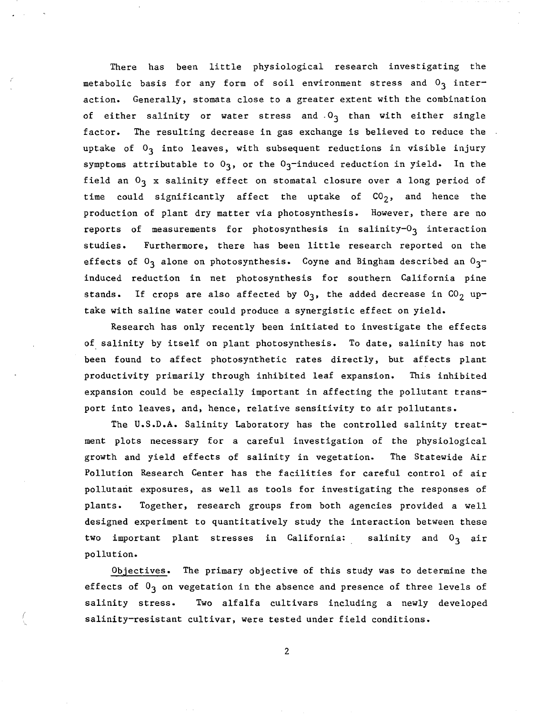There has been little physiological research investigating the metabolic basis for any form of soil environment stress and  $0<sub>3</sub>$  interaction. Generally, stomata close to a greater extent with the combination of either salinity or water stress and  $0<sub>3</sub>$  than with either single factor. The resulting decrease in gas exchange is believed to reduce the uptake of  $0<sub>3</sub>$  into leaves, with subsequent reductions in visible injury symptoms attributable to  $0<sub>3</sub>$ , or the  $0<sub>3</sub>$ -induced reduction in yield. In the field an  $O_3$  x salinity effect on stomatal closure over a long period of time could significantly affect the uptake of  $CO<sub>2</sub>$ , and hence the production of plant dry matter via photosynthesis. However, there are no reports of measurements for photosynthesis in salinity- $0<sub>3</sub>$  interaction studies. Furthermore, there has been little research reported on the effects of  $0<sub>3</sub>$  alone on photosynthesis. Coyne and Bingham described an  $0<sub>3</sub>$ induced reduction in net photosynthesis for southern California pine stands. If crops are also affected by  $0<sub>3</sub>$ , the added decrease in  $CO<sub>2</sub>$  uptake with saline water could produce a synergistic effect on yield.

Research has only recently been initiated to investigate the effects of salinity by itself on plant photosynthesis. To date, salinity has not been found to affect photosynthetic rates directly, but affects plant productivity primarily through inhibited leaf expansion. This inhibited expansion could be especially important in affecting the pollutant transport into leaves, and, hence, relative sensitivity to air pollutants.

The U.S.D.A. Salinity Laboratory has the controlled salinity treatment plots necessary for a careful investigation of the physiological growth and yield effects of salinity in vegetation. The Statewide Air Pollution Research Center has the facilities for careful control of air pollutant exposures, as well as tools for investigating the responses of plants. Together, research groups from both agencies provided a well designed experiment to quantitatively study the interaction between these two important plant stresses in California: salinity and  $0<sub>3</sub>$  air pollution.

Objectives. The primary objective of this study was to determine the effects of  $0<sub>3</sub>$  on vegetation in the absence and presence of three levels of salinity stress. Two alfalfa cultivars including a newly developed salinity-resistant cultivar, were tested under field conditions.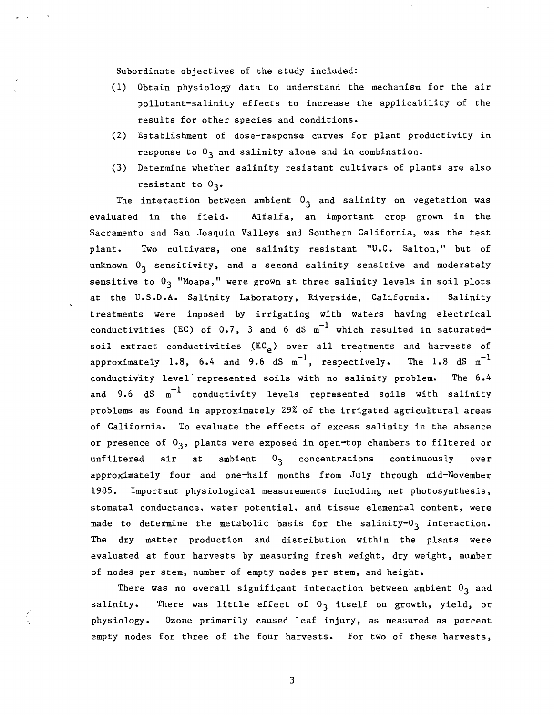Subordinate objectives of the study included:

- (1) Obtain physiology data to understand the mechanism for the air pollutant-salinity effects to increase the applicability of the results for other species and conditions.
- (2) Establishment of dose-response curves for plant productivity in response to  $0<sub>3</sub>$  and salinity alone and in combination.
- (3) Determine whether salinity resistant cultivars of plants are also resistant to  $0_3$ .

The interaction between ambient  $0<sub>3</sub>$  and salinity on vegetation was evaluated in the field. Alfalfa, an important crop grown in the Sacramento and San Joaquin Valleys and Southern California, was the test plant. Two cultivars, one salinity resistant "U.C. Salton," but of unknown  $0<sub>3</sub>$  sensitivity, and a second salinity sensitive and moderately sensitive to  $0^{\frac{1}{3}}$  "Moapa," were grown at three salinity levels in soil plots at the U.S.D.A. Salinity Laboratory, Riverside, California. Salinity treatments were imposed by irrigating with waters having electrical conductivities (EC) of  $0.7$ , 3 and 6 dS  $m^{-1}$  which resulted in saturatedsoil extract conductivities  $(EC_{\rho})$  over all treatments and harvests of approximately 1.8, 6.4 and 9.6 dS  $m^{-1}$ , respectively. The 1.8 dS  $m^{-1}$ conductivity level represented soils with no salinity problem. The 6.4 and 9.6  $dS$   $m^{-1}$  conductivity levels represented soils with salinity problems as found in approximately 29% of the irrigated agricultural areas of California. To evaluate the effects of excess salinity in the absence or presence of  $0_3$ , plants were exposed in open-top chambers to filtered or unfiltered air at ambient  $0<sub>3</sub>$  concentrations continuously over approximately four and one-half months from July through mid-November 1985. Important physiological measurements including net photosynthesis, stomatal conductance, water potential, and tissue elemental content, were made to determine the metabolic basis for the salinity- $0<sub>3</sub>$  interaction. The dry matter production and distribution within the plants were evaluated at four harvests by measuring fresh weight, dry weight, number of nodes per stem, number of empty nodes per stem, and height.

There was no overall significant interaction between ambient  $0<sub>3</sub>$  and salinity. There was little effect of  $0<sub>3</sub>$  itself on growth, yield, or physiology. Ozone primarily caused leaf injury, as measured as percent empty nodes for three of the four harvests. For two of these harvests,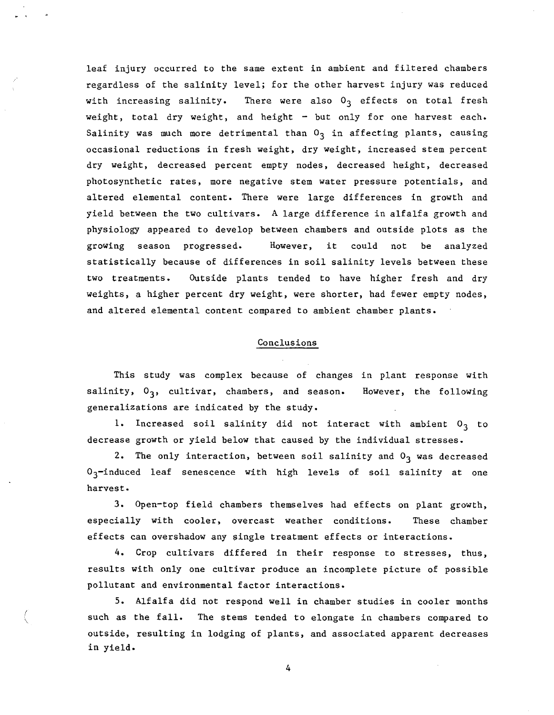leaf injury occurred to the same extent in ambient and filtered chambers regardless of the salinity level; for the other harvest injury was reduced with increasing salinity. There were also  $0<sub>3</sub>$  effects on total fresh weight, total dry weight, and height - but only for one harvest each. Salinity was much more detrimental than  $0<sub>3</sub>$  in affecting plants, causing occasional reductions in fresh weight, dry weight, increased stem percent dry weight, decreased percent empty nodes, decreased height, decreased photosynthetic rates, more negative stem water pressure potentials, and altered elemental content. There were large differences in growth and yield between the two cultivars. A large difference in alfalfa growth and physiology appeared to develop between chambers and outside plots as the growing season progressed. However, it could not be analyzed statistically because of differences in soil salinity levels between these two treatments. Outside plants tended to have higher fresh and dry weights, a higher percent dry weight, were shorter, had fewer empty nodes, and altered elemental content compared to ambient chamber plants.

# Conclusions

This study was complex because of changes in plant response with salinity,  $0_3$ , cultivar, chambers, and season. However, the following generalizations are indicated by the study.

1. Increased soil salinity did not interact with ambient  $0<sub>3</sub>$  to decrease growth or yield below that caused by the individual stresses.

2. The only interaction, between soil salinity and  $0<sub>3</sub>$  was decreased  $0<sub>3</sub>$ -induced leaf senescence with high levels of soil salinity at one harvest.

3. Open-top field chambers themselves had effects on plant growth, especially with cooler, overcast weather conditions. These chamber effects can overshadow any single treatment effects or interactions.

4. Crop cultivars differed in their response to stresses, thus, results with only one cultivar produce an incomplete picture of possible pollutant and environmental factor interactions.

5. Alfalfa did not respond well in chamber studies in cooler months such as the fa11. The stems tended to elongate in chambers compared to outside, resulting in lodging of plants, and associated apparent decreases in yield.